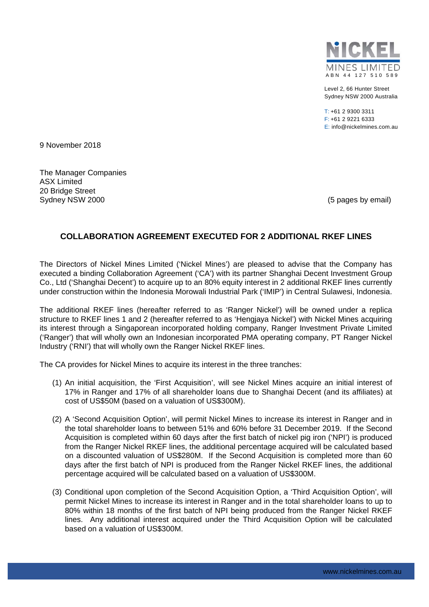

Level 2, 66 Hunter Street Sydney NSW 2000 Australia

T: +61 2 9300 3311 F: +61 2 9221 6333 E: info@nickelmines.com.au

9 November 2018

The Manager Companies ASX Limited 20 Bridge Street Sydney NSW 2000 (5 pages by email)

# **COLLABORATION AGREEMENT EXECUTED FOR 2 ADDITIONAL RKEF LINES**

The Directors of Nickel Mines Limited ('Nickel Mines') are pleased to advise that the Company has executed a binding Collaboration Agreement ('CA') with its partner Shanghai Decent Investment Group Co., Ltd ('Shanghai Decent') to acquire up to an 80% equity interest in 2 additional RKEF lines currently under construction within the Indonesia Morowali Industrial Park ('IMIP') in Central Sulawesi, Indonesia.

The additional RKEF lines (hereafter referred to as 'Ranger Nickel') will be owned under a replica structure to RKEF lines 1 and 2 (hereafter referred to as 'Hengjaya Nickel') with Nickel Mines acquiring its interest through a Singaporean incorporated holding company, Ranger Investment Private Limited ('Ranger') that will wholly own an Indonesian incorporated PMA operating company, PT Ranger Nickel Industry ('RNI') that will wholly own the Ranger Nickel RKEF lines.

The CA provides for Nickel Mines to acquire its interest in the three tranches:

- (1) An initial acquisition, the 'First Acquisition', will see Nickel Mines acquire an initial interest of 17% in Ranger and 17% of all shareholder loans due to Shanghai Decent (and its affiliates) at cost of US\$50M (based on a valuation of US\$300M).
- (2) A 'Second Acquisition Option', will permit Nickel Mines to increase its interest in Ranger and in the total shareholder loans to between 51% and 60% before 31 December 2019. If the Second Acquisition is completed within 60 days after the first batch of nickel pig iron ('NPI') is produced from the Ranger Nickel RKEF lines, the additional percentage acquired will be calculated based on a discounted valuation of US\$280M. If the Second Acquisition is completed more than 60 days after the first batch of NPI is produced from the Ranger Nickel RKEF lines, the additional percentage acquired will be calculated based on a valuation of US\$300M.
- (3) Conditional upon completion of the Second Acquisition Option, a 'Third Acquisition Option', will permit Nickel Mines to increase its interest in Ranger and in the total shareholder loans to up to 80% within 18 months of the first batch of NPI being produced from the Ranger Nickel RKEF lines. Any additional interest acquired under the Third Acquisition Option will be calculated based on a valuation of US\$300M.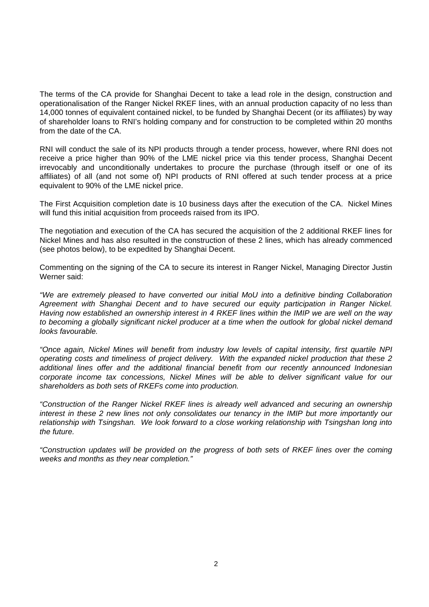The terms of the CA provide for Shanghai Decent to take a lead role in the design, construction and operationalisation of the Ranger Nickel RKEF lines, with an annual production capacity of no less than 14,000 tonnes of equivalent contained nickel, to be funded by Shanghai Decent (or its affiliates) by way of shareholder loans to RNI's holding company and for construction to be completed within 20 months from the date of the CA.

RNI will conduct the sale of its NPI products through a tender process, however, where RNI does not receive a price higher than 90% of the LME nickel price via this tender process, Shanghai Decent irrevocably and unconditionally undertakes to procure the purchase (through itself or one of its affiliates) of all (and not some of) NPI products of RNI offered at such tender process at a price equivalent to 90% of the LME nickel price.

The First Acquisition completion date is 10 business days after the execution of the CA. Nickel Mines will fund this initial acquisition from proceeds raised from its IPO.

The negotiation and execution of the CA has secured the acquisition of the 2 additional RKEF lines for Nickel Mines and has also resulted in the construction of these 2 lines, which has already commenced (see photos below), to be expedited by Shanghai Decent.

Commenting on the signing of the CA to secure its interest in Ranger Nickel, Managing Director Justin Werner said:

*"We are extremely pleased to have converted our initial MoU into a definitive binding Collaboration Agreement with Shanghai Decent and to have secured our equity participation in Ranger Nickel. Having now established an ownership interest in 4 RKEF lines within the IMIP we are well on the way to becoming a globally significant nickel producer at a time when the outlook for global nickel demand looks favourable.* 

*"Once again, Nickel Mines will benefit from industry low levels of capital intensity, first quartile NPI operating costs and timeliness of project delivery. With the expanded nickel production that these 2 additional lines offer and the additional financial benefit from our recently announced Indonesian corporate income tax concessions, Nickel Mines will be able to deliver significant value for our shareholders as both sets of RKEFs come into production.* 

*"Construction of the Ranger Nickel RKEF lines is already well advanced and securing an ownership interest in these 2 new lines not only consolidates our tenancy in the IMIP but more importantly our relationship with Tsingshan. We look forward to a close working relationship with Tsingshan long into the future.* 

*"Construction updates will be provided on the progress of both sets of RKEF lines over the coming weeks and months as they near completion."*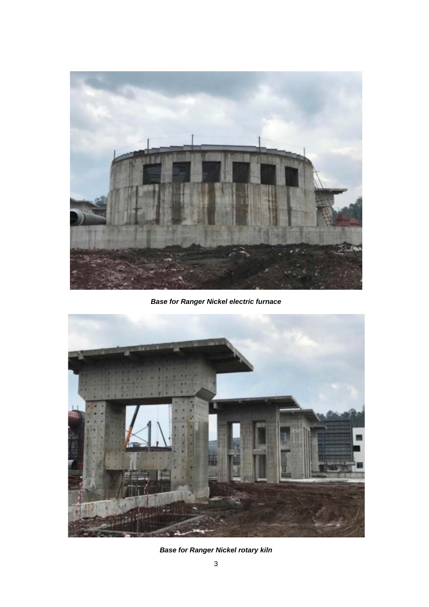

*Base for Ranger Nickel electric furnace*



*Base for Ranger Nickel rotary kiln*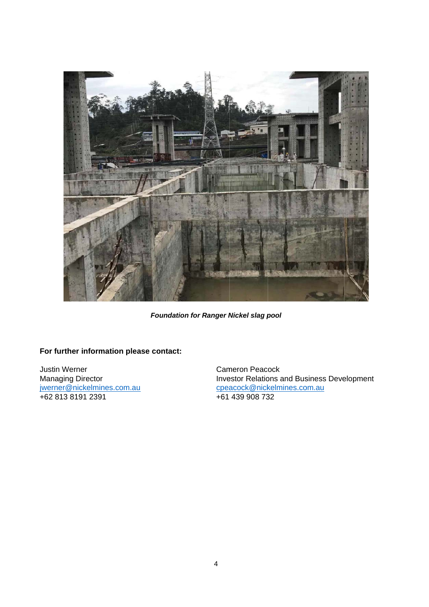

**Foundation for Ranger Nickel slag pool** 

## For further information please contact:

Justin Werner Managing Director jwerner@nickelmines.com.au +62 813 8191 2391

Cameron Peacock Investor Relations and Business Development cpeacock@nickelmines.com.au +61 439 908 732